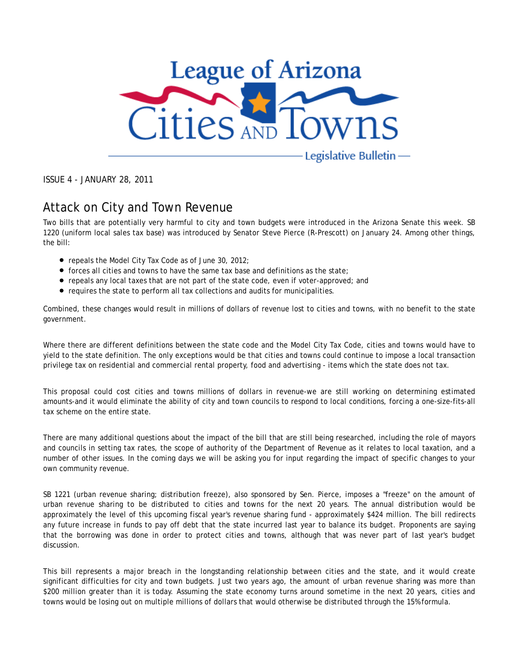

ISSUE 4 - JANUARY 28, 2011

#### Attack on City and Town Revenue

Two bills that are potentially very harmful to city and town budgets were introduced in the Arizona Senate this week. SB 1220 (uniform local sales tax base) was introduced by Senator Steve Pierce (R-Prescott) on January 24. Among other things, the bill:

- repeals the Model City Tax Code as of June 30, 2012;
- forces all cities and towns to have the same tax base and definitions as the state;
- repeals any local taxes that are not part of the state code, even if voter-approved; and
- requires the state to perform all tax collections and audits for municipalities.

Combined, these changes would result in millions of dollars of revenue lost to cities and towns, with no benefit to the state government.

Where there are different definitions between the state code and the Model City Tax Code, cities and towns would have to yield to the state definition. The only exceptions would be that cities and towns could continue to impose a local transaction privilege tax on residential and commercial rental property, food and advertising - items which the state does not tax.

This proposal could cost cities and towns millions of dollars in revenue-we are still working on determining estimated amounts-and it would eliminate the ability of city and town councils to respond to local conditions, forcing a one-size-fits-all tax scheme on the entire state.

There are many additional questions about the impact of the bill that are still being researched, including the role of mayors and councils in setting tax rates, the scope of authority of the Department of Revenue as it relates to local taxation, and a number of other issues. In the coming days we will be asking you for input regarding the impact of specific changes to your own community revenue.

SB 1221 (urban revenue sharing; distribution freeze), also sponsored by Sen. Pierce, imposes a "freeze" on the amount of urban revenue sharing to be distributed to cities and towns for the next 20 years. The annual distribution would be approximately the level of this upcoming fiscal year's revenue sharing fund - approximately \$424 million. The bill redirects any future increase in funds to pay off debt that the state incurred last year to balance its budget. Proponents are saying that the borrowing was done in order to protect cities and towns, although that was never part of last year's budget discussion.

This bill represents a major breach in the longstanding relationship between cities and the state, and it would create significant difficulties for city and town budgets. Just two years ago, the amount of urban revenue sharing was more than \$200 million greater than it is today. Assuming the state economy turns around sometime in the next 20 years, cities and towns would be losing out on multiple millions of dollars that would otherwise be distributed through the 15% formula.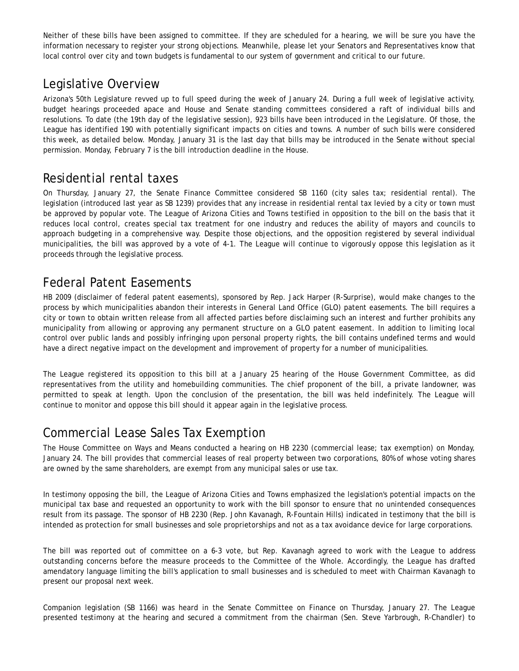Neither of these bills have been assigned to committee. If they are scheduled for a hearing, we will be sure you have the information necessary to register your strong objections. Meanwhile, please let your Senators and Representatives know that local control over city and town budgets is fundamental to our system of government and critical to our future.

#### Legislative Overview

Arizona's 50th Legislature revved up to full speed during the week of January 24. During a full week of legislative activity, budget hearings proceeded apace and House and Senate standing committees considered a raft of individual bills and resolutions. To date (the 19th day of the legislative session), 923 bills have been introduced in the Legislature. Of those, the League has identified 190 with potentially significant impacts on cities and towns. A number of such bills were considered this week, as detailed below. Monday, January 31 is the last day that bills may be introduced in the Senate without special permission. Monday, February 7 is the bill introduction deadline in the House.

#### Residential rental taxes

On Thursday, January 27, the Senate Finance Committee considered SB 1160 (city sales tax; residential rental). The legislation (introduced last year as SB 1239) provides that any increase in residential rental tax levied by a city or town must be approved by popular vote. The League of Arizona Cities and Towns testified in opposition to the bill on the basis that it reduces local control, creates special tax treatment for one industry and reduces the ability of mayors and councils to approach budgeting in a comprehensive way. Despite those objections, and the opposition registered by several individual municipalities, the bill was approved by a vote of 4-1. The League will continue to vigorously oppose this legislation as it proceeds through the legislative process.

## Federal Patent Easements

HB 2009 (disclaimer of federal patent easements), sponsored by Rep. Jack Harper (R-Surprise), would make changes to the process by which municipalities abandon their interests in General Land Office (GLO) patent easements. The bill requires a city or town to obtain written release from all affected parties before disclaiming such an interest and further prohibits any municipality from allowing or approving any permanent structure on a GLO patent easement. In addition to limiting local control over public lands and possibly infringing upon personal property rights, the bill contains undefined terms and would have a direct negative impact on the development and improvement of property for a number of municipalities.

The League registered its opposition to this bill at a January 25 hearing of the House Government Committee, as did representatives from the utility and homebuilding communities. The chief proponent of the bill, a private landowner, was permitted to speak at length. Upon the conclusion of the presentation, the bill was held indefinitely. The League will continue to monitor and oppose this bill should it appear again in the legislative process.

## Commercial Lease Sales Tax Exemption

The House Committee on Ways and Means conducted a hearing on HB 2230 (commercial lease; tax exemption) on Monday, January 24. The bill provides that commercial leases of real property between two corporations, 80% of whose voting shares are owned by the same shareholders, are exempt from any municipal sales or use tax.

In testimony opposing the bill, the League of Arizona Cities and Towns emphasized the legislation's potential impacts on the municipal tax base and requested an opportunity to work with the bill sponsor to ensure that no unintended consequences result from its passage. The sponsor of HB 2230 (Rep. John Kavanagh, R-Fountain Hills) indicated in testimony that the bill is intended as protection for small businesses and sole proprietorships and not as a tax avoidance device for large corporations.

The bill was reported out of committee on a 6-3 vote, but Rep. Kavanagh agreed to work with the League to address outstanding concerns before the measure proceeds to the Committee of the Whole. Accordingly, the League has drafted amendatory language limiting the bill's application to small businesses and is scheduled to meet with Chairman Kavanagh to present our proposal next week.

Companion legislation (SB 1166) was heard in the Senate Committee on Finance on Thursday, January 27. The League presented testimony at the hearing and secured a commitment from the chairman (Sen. Steve Yarbrough, R-Chandler) to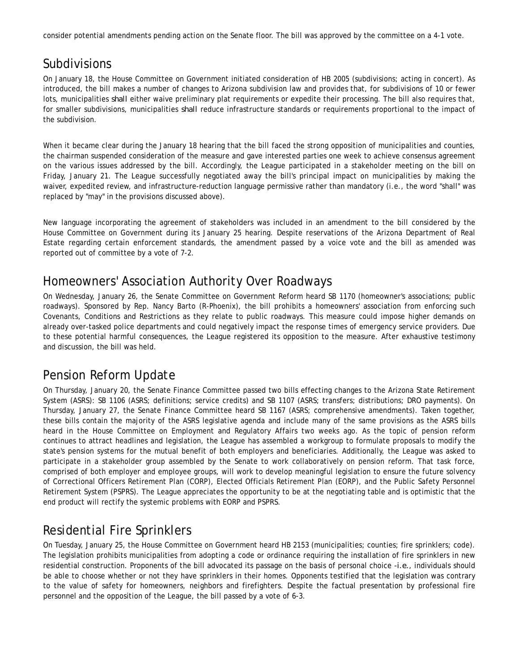consider potential amendments pending action on the Senate floor. The bill was approved by the committee on a 4-1 vote.

## Subdivisions

On January 18, the House Committee on Government initiated consideration of HB 2005 (subdivisions; acting in concert). As introduced, the bill makes a number of changes to Arizona subdivision law and provides that, for subdivisions of 10 or fewer lots, municipalities *shall* either waive preliminary plat requirements or expedite their processing. The bill also requires that, for smaller subdivisions, municipalities *shall* reduce infrastructure standards or requirements proportional to the impact of the subdivision.

When it became clear during the January 18 hearing that the bill faced the strong opposition of municipalities and counties, the chairman suspended consideration of the measure and gave interested parties one week to achieve consensus agreement on the various issues addressed by the bill. Accordingly, the League participated in a stakeholder meeting on the bill on Friday, January 21. The League successfully negotiated away the bill's principal impact on municipalities by making the waiver, expedited review, and infrastructure-reduction language permissive rather than mandatory (i.e., the word "shall" was replaced by "may" in the provisions discussed above).

New language incorporating the agreement of stakeholders was included in an amendment to the bill considered by the House Committee on Government during its January 25 hearing. Despite reservations of the Arizona Department of Real Estate regarding certain enforcement standards, the amendment passed by a voice vote and the bill as amended was reported out of committee by a vote of 7-2.

#### Homeowners' Association Authority Over Roadways

On Wednesday, January 26, the Senate Committee on Government Reform heard SB 1170 (homeowner's associations; public roadways). Sponsored by Rep. Nancy Barto (R-Phoenix), the bill prohibits a homeowners' association from enforcing such Covenants, Conditions and Restrictions as they relate to public roadways. This measure could impose higher demands on already over-tasked police departments and could negatively impact the response times of emergency service providers. Due to these potential harmful consequences, the League registered its opposition to the measure. After exhaustive testimony and discussion, the bill was held.

## Pension Reform Update

On Thursday, January 20, the Senate Finance Committee passed two bills effecting changes to the Arizona State Retirement System (ASRS): SB 1106 (ASRS; definitions; service credits) and SB 1107 (ASRS; transfers; distributions; DRO payments). On Thursday, January 27, the Senate Finance Committee heard SB 1167 (ASRS; comprehensive amendments). Taken together, these bills contain the majority of the ASRS legislative agenda and include many of the same provisions as the ASRS bills heard in the House Committee on Employment and Regulatory Affairs two weeks ago. As the topic of pension reform continues to attract headlines and legislation, the League has assembled a workgroup to formulate proposals to modify the state's pension systems for the mutual benefit of both employers and beneficiaries. Additionally, the League was asked to participate in a stakeholder group assembled by the Senate to work collaboratively on pension reform. That task force, comprised of both employer and employee groups, will work to develop meaningful legislation to ensure the future solvency of Correctional Officers Retirement Plan (CORP), Elected Officials Retirement Plan (EORP), and the Public Safety Personnel Retirement System (PSPRS). The League appreciates the opportunity to be at the negotiating table and is optimistic that the end product will rectify the systemic problems with EORP and PSPRS.

# Residential Fire Sprinklers

On Tuesday, January 25, the House Committee on Government heard HB 2153 (municipalities; counties; fire sprinklers; code). The legislation prohibits municipalities from adopting a code or ordinance requiring the installation of fire sprinklers in new residential construction. Proponents of the bill advocated its passage on the basis of personal choice *-i.e.*, individuals should be able to choose whether or not they have sprinklers in their homes. Opponents testified that the legislation was contrary to the value of safety for homeowners, neighbors and firefighters. Despite the factual presentation by professional fire personnel and the opposition of the League, the bill passed by a vote of 6-3.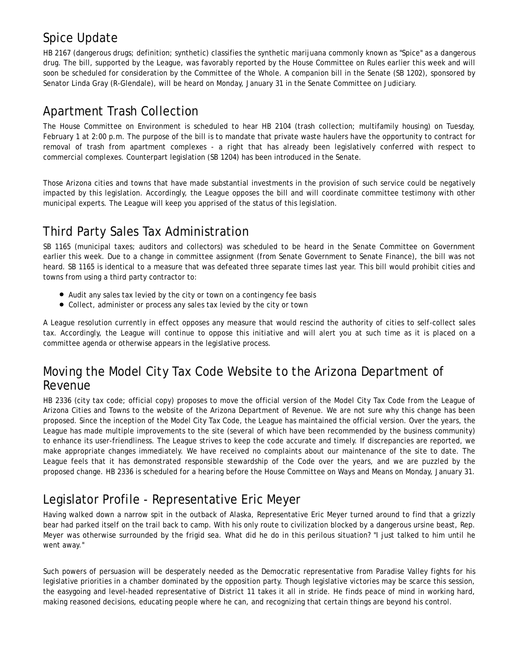# Spice Update

HB 2167 (dangerous drugs; definition; synthetic) classifies the synthetic marijuana commonly known as "Spice" as a dangerous drug. The bill, supported by the League, was favorably reported by the House Committee on Rules earlier this week and will soon be scheduled for consideration by the Committee of the Whole. A companion bill in the Senate (SB 1202), sponsored by Senator Linda Gray (R-Glendale), will be heard on Monday, January 31 in the Senate Committee on Judiciary.

#### Apartment Trash Collection

The House Committee on Environment is scheduled to hear HB 2104 (trash collection; multifamily housing) on Tuesday, February 1 at 2:00 p.m. The purpose of the bill is to mandate that private waste haulers have the opportunity to contract for removal of trash from apartment complexes - a right that has already been legislatively conferred with respect to commercial complexes. Counterpart legislation (SB 1204) has been introduced in the Senate.

Those Arizona cities and towns that have made substantial investments in the provision of such service could be negatively impacted by this legislation. Accordingly, the League opposes the bill and will coordinate committee testimony with other municipal experts. The League will keep you apprised of the status of this legislation.

# Third Party Sales Tax Administration

SB 1165 (municipal taxes; auditors and collectors) was scheduled to be heard in the Senate Committee on Government earlier this week. Due to a change in committee assignment (from Senate Government to Senate Finance), the bill was not heard. SB 1165 is identical to a measure that was defeated three separate times last year. This bill would prohibit cities and towns from using a third party contractor to:

- Audit any sales tax levied by the city or town on a contingency fee basis
- Collect, administer or process any sales tax levied by the city or town

A League resolution currently in effect opposes any measure that would rescind the authority of cities to self-collect sales tax. Accordingly, the League will continue to oppose this initiative and will alert you at such time as it is placed on a committee agenda or otherwise appears in the legislative process.

#### Moving the Model City Tax Code Website to the Arizona Department of Revenue

HB 2336 (city tax code; official copy) proposes to move the official version of the Model City Tax Code from the League of Arizona Cities and Towns to the website of the Arizona Department of Revenue. We are not sure why this change has been proposed. Since the inception of the Model City Tax Code, the League has maintained the official version. Over the years, the League has made multiple improvements to the site (several of which have been recommended by the business community) to enhance its user-friendliness. The League strives to keep the code accurate and timely. If discrepancies are reported, we make appropriate changes immediately. We have received no complaints about our maintenance of the site to date. The League feels that it has demonstrated responsible stewardship of the Code over the years, and we are puzzled by the proposed change. HB 2336 is scheduled for a hearing before the House Committee on Ways and Means on Monday, January 31.

## Legislator Profile - Representative Eric Meyer

Having walked down a narrow spit in the outback of Alaska, Representative Eric Meyer turned around to find that a grizzly bear had parked itself on the trail back to camp. With his only route to civilization blocked by a dangerous ursine beast, Rep. Meyer was otherwise surrounded by the frigid sea. What did he do in this perilous situation? "I just talked to him until he went away."

Such powers of persuasion will be desperately needed as the Democratic representative from Paradise Valley fights for his legislative priorities in a chamber dominated by the opposition party. Though legislative victories may be scarce this session, the easygoing and level-headed representative of District 11 takes it all in stride. He finds peace of mind in working hard, making reasoned decisions, educating people where he can, and recognizing that certain things are beyond his control.